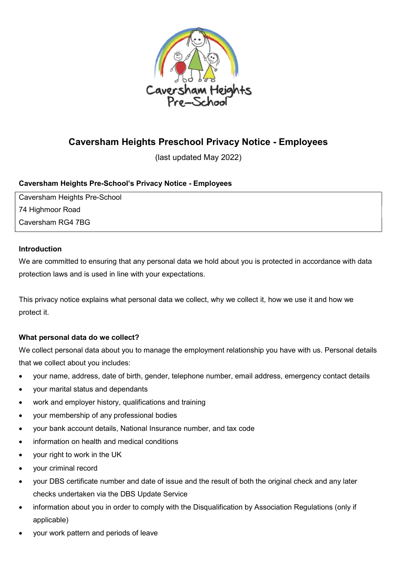

# Caversham Heights Preschool Privacy Notice - Employees

(last updated May 2022)

# Caversham Heights Pre-School's Privacy Notice - Employees

Caversham Heights Pre-School 74 Highmoor Road Caversham RG4 7BG

## Introduction

We are committed to ensuring that any personal data we hold about you is protected in accordance with data protection laws and is used in line with your expectations.

This privacy notice explains what personal data we collect, why we collect it, how we use it and how we protect it.

# What personal data do we collect?

We collect personal data about you to manage the employment relationship you have with us. Personal details that we collect about you includes:

- your name, address, date of birth, gender, telephone number, email address, emergency contact details
- your marital status and dependants
- work and employer history, qualifications and training
- your membership of any professional bodies
- your bank account details, National Insurance number, and tax code
- information on health and medical conditions
- your right to work in the UK
- your criminal record
- your DBS certificate number and date of issue and the result of both the original check and any later checks undertaken via the DBS Update Service
- information about you in order to comply with the Disqualification by Association Regulations (only if applicable)
- your work pattern and periods of leave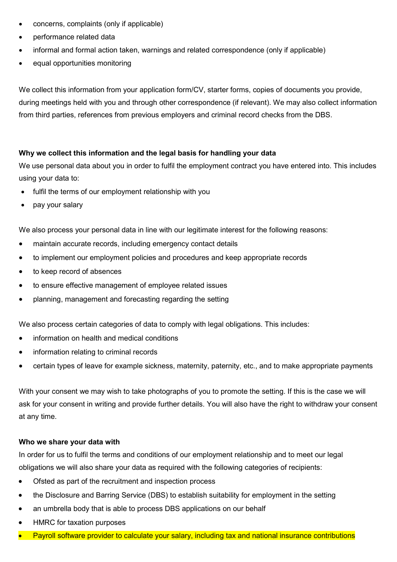- concerns, complaints (only if applicable)
- performance related data
- informal and formal action taken, warnings and related correspondence (only if applicable)
- equal opportunities monitoring

We collect this information from your application form/CV, starter forms, copies of documents you provide, during meetings held with you and through other correspondence (if relevant). We may also collect information from third parties, references from previous employers and criminal record checks from the DBS.

#### Why we collect this information and the legal basis for handling your data

We use personal data about you in order to fulfil the employment contract you have entered into. This includes using your data to:

- fulfil the terms of our employment relationship with you
- pay your salary

We also process your personal data in line with our legitimate interest for the following reasons:

- maintain accurate records, including emergency contact details
- to implement our employment policies and procedures and keep appropriate records
- to keep record of absences
- to ensure effective management of employee related issues
- planning, management and forecasting regarding the setting

We also process certain categories of data to comply with legal obligations. This includes:

- information on health and medical conditions
- information relating to criminal records
- certain types of leave for example sickness, maternity, paternity, etc., and to make appropriate payments

With your consent we may wish to take photographs of you to promote the setting. If this is the case we will ask for your consent in writing and provide further details. You will also have the right to withdraw your consent at any time.

#### Who we share your data with

In order for us to fulfil the terms and conditions of our employment relationship and to meet our legal obligations we will also share your data as required with the following categories of recipients:

- Ofsted as part of the recruitment and inspection process
- the Disclosure and Barring Service (DBS) to establish suitability for employment in the setting
- an umbrella body that is able to process DBS applications on our behalf
- HMRC for taxation purposes
- Payroll software provider to calculate your salary, including tax and national insurance contributions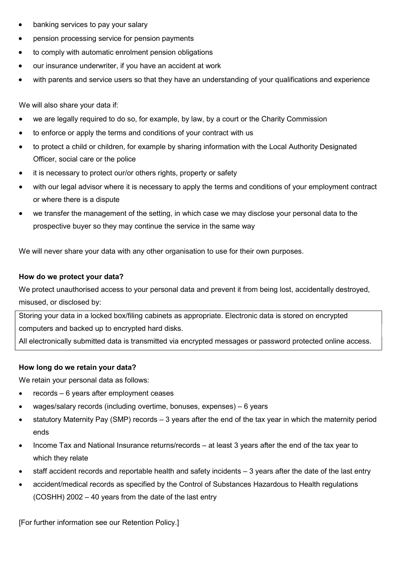- banking services to pay your salary
- pension processing service for pension payments
- to comply with automatic enrolment pension obligations
- our insurance underwriter, if you have an accident at work
- with parents and service users so that they have an understanding of your qualifications and experience

We will also share your data if:

- we are legally required to do so, for example, by law, by a court or the Charity Commission
- to enforce or apply the terms and conditions of your contract with us
- to protect a child or children, for example by sharing information with the Local Authority Designated Officer, social care or the police
- it is necessary to protect our/or others rights, property or safety
- with our legal advisor where it is necessary to apply the terms and conditions of your employment contract or where there is a dispute
- we transfer the management of the setting, in which case we may disclose your personal data to the prospective buyer so they may continue the service in the same way

We will never share your data with any other organisation to use for their own purposes.

#### How do we protect your data?

We protect unauthorised access to your personal data and prevent it from being lost, accidentally destroyed, misused, or disclosed by:

Storing your data in a locked box/filing cabinets as appropriate. Electronic data is stored on encrypted computers and backed up to encrypted hard disks.

All electronically submitted data is transmitted via encrypted messages or password protected online access.

#### How long do we retain your data?

We retain your personal data as follows:

- records 6 years after employment ceases
- wages/salary records (including overtime, bonuses, expenses) 6 years
- statutory Maternity Pay (SMP) records 3 years after the end of the tax year in which the maternity period ends
- Income Tax and National Insurance returns/records at least 3 years after the end of the tax year to which they relate
- staff accident records and reportable health and safety incidents 3 years after the date of the last entry
- accident/medical records as specified by the Control of Substances Hazardous to Health regulations (COSHH) 2002 – 40 years from the date of the last entry

[For further information see our Retention Policy.]